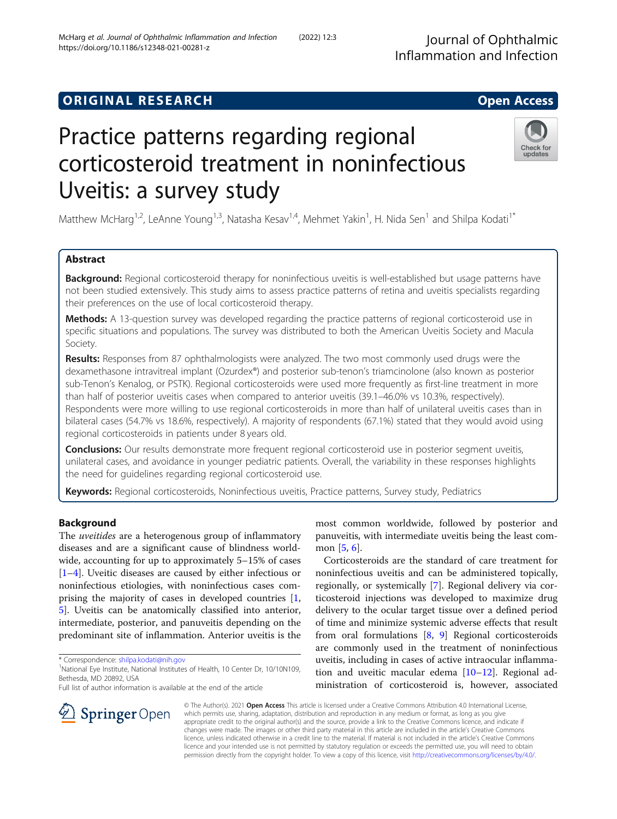# **ORIGINAL RESEARCH CONSUMING ACCESS**

# Practice patterns regarding regional corticosteroid treatment in noninfectious Uveitis: a survey study

Matthew McHarg<sup>1,2</sup>, LeAnne Young<sup>1,3</sup>, Natasha Kesav<sup>1,4</sup>, Mehmet Yakin<sup>1</sup>, H. Nida Sen<sup>1</sup> and Shilpa Kodati<sup>1\*</sup>

# Abstract

Background: Regional corticosteroid therapy for noninfectious uveitis is well-established but usage patterns have not been studied extensively. This study aims to assess practice patterns of retina and uveitis specialists regarding their preferences on the use of local corticosteroid therapy.

**Methods:** A 13-question survey was developed regarding the practice patterns of regional corticosteroid use in specific situations and populations. The survey was distributed to both the American Uveitis Society and Macula Society.

Results: Responses from 87 ophthalmologists were analyzed. The two most commonly used drugs were the dexamethasone intravitreal implant (Ozurdex®) and posterior sub-tenon's triamcinolone (also known as posterior sub-Tenon's Kenalog, or PSTK). Regional corticosteroids were used more frequently as first-line treatment in more than half of posterior uveitis cases when compared to anterior uveitis (39.1–46.0% vs 10.3%, respectively). Respondents were more willing to use regional corticosteroids in more than half of unilateral uveitis cases than in bilateral cases (54.7% vs 18.6%, respectively). A majority of respondents (67.1%) stated that they would avoid using regional corticosteroids in patients under 8 years old.

**Conclusions:** Our results demonstrate more frequent regional corticosteroid use in posterior segment uveitis, unilateral cases, and avoidance in younger pediatric patients. Overall, the variability in these responses highlights the need for guidelines regarding regional corticosteroid use.

Keywords: Regional corticosteroids, Noninfectious uveitis, Practice patterns, Survey study, Pediatrics

# Background

The *uveitides* are a heterogenous group of inflammatory diseases and are a significant cause of blindness worldwide, accounting for up to approximately 5–15% of cases [[1](#page-4-0)–[4\]](#page-4-0). Uveitic diseases are caused by either infectious or noninfectious etiologies, with noninfectious cases comprising the majority of cases in developed countries [[1](#page-4-0), [5\]](#page-4-0). Uveitis can be anatomically classified into anterior, intermediate, posterior, and panuveitis depending on the predominant site of inflammation. Anterior uveitis is the

\* Correspondence: [shilpa.kodati@nih.gov](mailto:shilpa.kodati@nih.gov) <sup>1</sup>

SpringerOpen

Full list of author information is available at the end of the article

most common worldwide, followed by posterior and panuveitis, with intermediate uveitis being the least common [[5](#page-4-0), [6](#page-4-0)].

Corticosteroids are the standard of care treatment for noninfectious uveitis and can be administered topically, regionally, or systemically [\[7](#page-5-0)]. Regional delivery via corticosteroid injections was developed to maximize drug delivery to the ocular target tissue over a defined period of time and minimize systemic adverse effects that result from oral formulations [[8,](#page-5-0) [9](#page-5-0)] Regional corticosteroids are commonly used in the treatment of noninfectious uveitis, including in cases of active intraocular inflammation and uveitic macular edema [[10](#page-5-0)–[12](#page-5-0)]. Regional administration of corticosteroid is, however, associated

© The Author(s). 2021 Open Access This article is licensed under a Creative Commons Attribution 4.0 International License, which permits use, sharing, adaptation, distribution and reproduction in any medium or format, as long as you give appropriate credit to the original author(s) and the source, provide a link to the Creative Commons licence, and indicate if changes were made. The images or other third party material in this article are included in the article's Creative Commons licence, unless indicated otherwise in a credit line to the material. If material is not included in the article's Creative Commons licence and your intended use is not permitted by statutory regulation or exceeds the permitted use, you will need to obtain permission directly from the copyright holder. To view a copy of this licence, visit <http://creativecommons.org/licenses/by/4.0/>.







<sup>&</sup>lt;sup>1</sup>National Eye Institute, National Institutes of Health, 10 Center Dr, 10/10N109, Bethesda, MD 20892, USA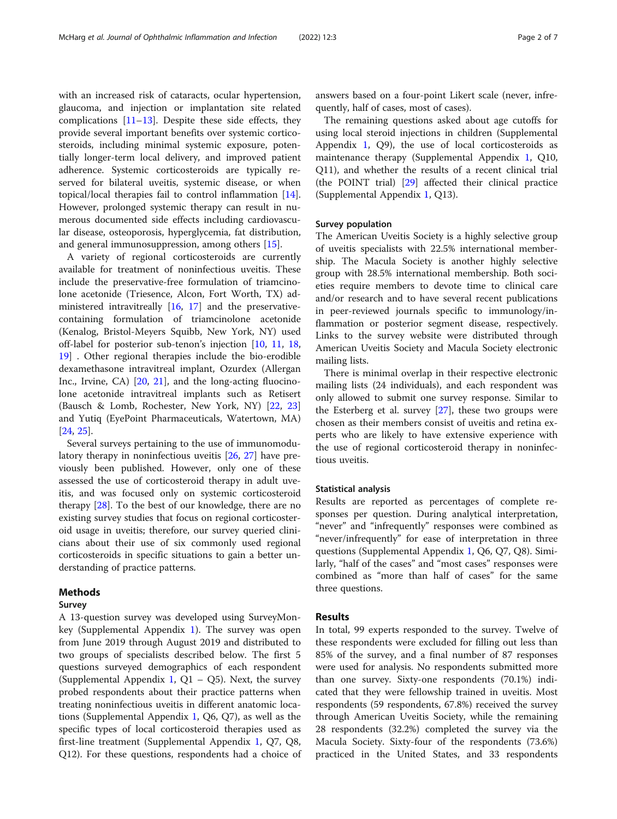with an increased risk of cataracts, ocular hypertension, glaucoma, and injection or implantation site related complications  $[11–13]$  $[11–13]$  $[11–13]$  $[11–13]$  $[11–13]$ . Despite these side effects, they provide several important benefits over systemic corticosteroids, including minimal systemic exposure, potentially longer-term local delivery, and improved patient adherence. Systemic corticosteroids are typically reserved for bilateral uveitis, systemic disease, or when topical/local therapies fail to control inflammation [\[14](#page-5-0)]. However, prolonged systemic therapy can result in numerous documented side effects including cardiovascular disease, osteoporosis, hyperglycemia, fat distribution, and general immunosuppression, among others [[15](#page-5-0)].

A variety of regional corticosteroids are currently available for treatment of noninfectious uveitis. These include the preservative-free formulation of triamcinolone acetonide (Triesence, Alcon, Fort Worth, TX) administered intravitreally [[16,](#page-5-0) [17\]](#page-5-0) and the preservativecontaining formulation of triamcinolone acetonide (Kenalog, Bristol-Meyers Squibb, New York, NY) used off-label for posterior sub-tenon's injection [[10,](#page-5-0) [11](#page-5-0), [18](#page-5-0), [19\]](#page-5-0) . Other regional therapies include the bio-erodible dexamethasone intravitreal implant, Ozurdex (Allergan Inc., Irvine, CA) [\[20](#page-5-0), [21](#page-5-0)], and the long-acting fluocinolone acetonide intravitreal implants such as Retisert (Bausch & Lomb, Rochester, New York, NY) [[22](#page-5-0), [23](#page-5-0)] and Yutiq (EyePoint Pharmaceuticals, Watertown, MA) [[24,](#page-5-0) [25\]](#page-5-0).

Several surveys pertaining to the use of immunomodulatory therapy in noninfectious uveitis [\[26,](#page-5-0) [27](#page-5-0)] have previously been published. However, only one of these assessed the use of corticosteroid therapy in adult uveitis, and was focused only on systemic corticosteroid therapy [[28](#page-5-0)]. To the best of our knowledge, there are no existing survey studies that focus on regional corticosteroid usage in uveitis; therefore, our survey queried clinicians about their use of six commonly used regional corticosteroids in specific situations to gain a better understanding of practice patterns.

# Methods

#### Survey

A 13-question survey was developed using SurveyMonkey (Supplemental Appendix [1\)](#page-4-0). The survey was open from June 2019 through August 2019 and distributed to two groups of specialists described below. The first 5 questions surveyed demographics of each respondent (Supplemental Appendix [1](#page-4-0),  $Q1 - Q5$ ). Next, the survey probed respondents about their practice patterns when treating noninfectious uveitis in different anatomic locations (Supplemental Appendix [1](#page-4-0), Q6, Q7), as well as the specific types of local corticosteroid therapies used as first-line treatment (Supplemental Appendix [1,](#page-4-0) Q7, Q8, Q12). For these questions, respondents had a choice of answers based on a four-point Likert scale (never, infrequently, half of cases, most of cases).

The remaining questions asked about age cutoffs for using local steroid injections in children (Supplemental Appendix [1](#page-4-0), Q9), the use of local corticosteroids as maintenance therapy (Supplemental Appendix [1,](#page-4-0) Q10, Q11), and whether the results of a recent clinical trial (the POINT trial) [[29\]](#page-5-0) affected their clinical practice (Supplemental Appendix [1](#page-4-0), Q13).

## Survey population

The American Uveitis Society is a highly selective group of uveitis specialists with 22.5% international membership. The Macula Society is another highly selective group with 28.5% international membership. Both societies require members to devote time to clinical care and/or research and to have several recent publications in peer-reviewed journals specific to immunology/inflammation or posterior segment disease, respectively. Links to the survey website were distributed through American Uveitis Society and Macula Society electronic mailing lists.

There is minimal overlap in their respective electronic mailing lists (24 individuals), and each respondent was only allowed to submit one survey response. Similar to the Esterberg et al. survey [\[27\]](#page-5-0), these two groups were chosen as their members consist of uveitis and retina experts who are likely to have extensive experience with the use of regional corticosteroid therapy in noninfectious uveitis.

## Statistical analysis

Results are reported as percentages of complete responses per question. During analytical interpretation, "never" and "infrequently" responses were combined as "never/infrequently" for ease of interpretation in three questions (Supplemental Appendix [1,](#page-4-0) Q6, Q7, Q8). Similarly, "half of the cases" and "most cases" responses were combined as "more than half of cases" for the same three questions.

# Results

In total, 99 experts responded to the survey. Twelve of these respondents were excluded for filling out less than 85% of the survey, and a final number of 87 responses were used for analysis. No respondents submitted more than one survey. Sixty-one respondents (70.1%) indicated that they were fellowship trained in uveitis. Most respondents (59 respondents, 67.8%) received the survey through American Uveitis Society, while the remaining 28 respondents (32.2%) completed the survey via the Macula Society. Sixty-four of the respondents (73.6%) practiced in the United States, and 33 respondents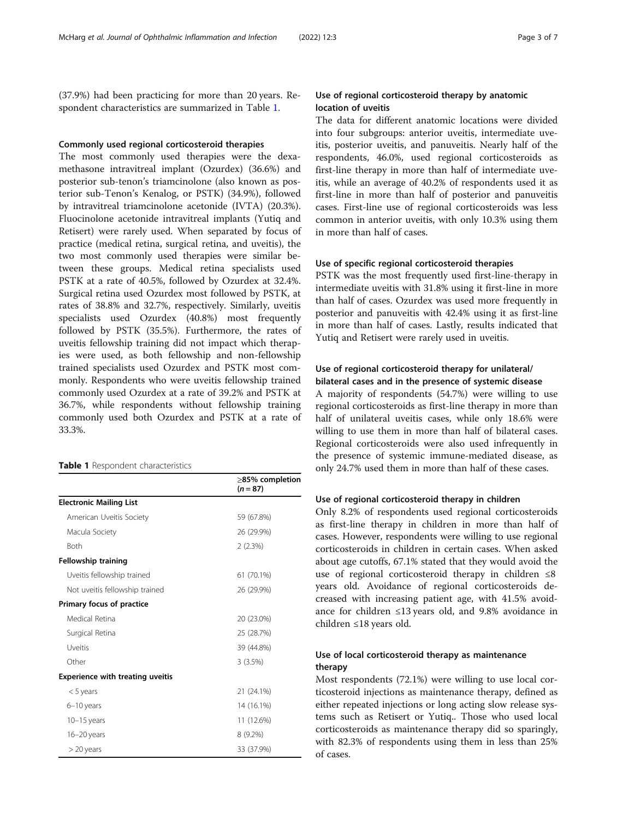(37.9%) had been practicing for more than 20 years. Respondent characteristics are summarized in Table 1.

## Commonly used regional corticosteroid therapies

The most commonly used therapies were the dexamethasone intravitreal implant (Ozurdex) (36.6%) and posterior sub-tenon's triamcinolone (also known as posterior sub-Tenon's Kenalog, or PSTK) (34.9%), followed by intravitreal triamcinolone acetonide (IVTA) (20.3%). Fluocinolone acetonide intravitreal implants (Yutiq and Retisert) were rarely used. When separated by focus of practice (medical retina, surgical retina, and uveitis), the two most commonly used therapies were similar between these groups. Medical retina specialists used PSTK at a rate of 40.5%, followed by Ozurdex at 32.4%. Surgical retina used Ozurdex most followed by PSTK, at rates of 38.8% and 32.7%, respectively. Similarly, uveitis specialists used Ozurdex (40.8%) most frequently followed by PSTK (35.5%). Furthermore, the rates of uveitis fellowship training did not impact which therapies were used, as both fellowship and non-fellowship trained specialists used Ozurdex and PSTK most commonly. Respondents who were uveitis fellowship trained commonly used Ozurdex at a rate of 39.2% and PSTK at 36.7%, while respondents without fellowship training commonly used both Ozurdex and PSTK at a rate of 33.3%.

#### Table 1 Respondent characteristics

|                                         | $\geq$ 85% completion<br>$(n = 87)$ |
|-----------------------------------------|-------------------------------------|
| <b>Electronic Mailing List</b>          |                                     |
| American Uveitis Society                | 59 (67.8%)                          |
| Macula Society                          | 26 (29.9%)                          |
| <b>Both</b>                             | 2(2.3%)                             |
| <b>Fellowship training</b>              |                                     |
| Uveitis fellowship trained              | 61 (70.1%)                          |
| Not uveitis fellowship trained          | 26 (29.9%)                          |
| Primary focus of practice               |                                     |
| Medical Retina                          | 20 (23.0%)                          |
| Surgical Retina                         | 25 (28.7%)                          |
| Uveitis                                 | 39 (44.8%)                          |
| Other                                   | 3(3.5%)                             |
| <b>Experience with treating uveitis</b> |                                     |
| $<$ 5 years                             | 21 (24.1%)                          |
| 6-10 years                              | 14 (16.1%)                          |
| $10-15$ years                           | 11 (12.6%)                          |
| $16 - 20$ years                         | 8 (9.2%)                            |
| $>$ 20 years                            | 33 (37.9%)                          |

# Use of regional corticosteroid therapy by anatomic location of uveitis

The data for different anatomic locations were divided into four subgroups: anterior uveitis, intermediate uveitis, posterior uveitis, and panuveitis. Nearly half of the respondents, 46.0%, used regional corticosteroids as first-line therapy in more than half of intermediate uveitis, while an average of 40.2% of respondents used it as first-line in more than half of posterior and panuveitis cases. First-line use of regional corticosteroids was less common in anterior uveitis, with only 10.3% using them in more than half of cases.

# Use of specific regional corticosteroid therapies

PSTK was the most frequently used first-line-therapy in intermediate uveitis with 31.8% using it first-line in more than half of cases. Ozurdex was used more frequently in posterior and panuveitis with 42.4% using it as first-line in more than half of cases. Lastly, results indicated that Yutiq and Retisert were rarely used in uveitis.

# Use of regional corticosteroid therapy for unilateral/ bilateral cases and in the presence of systemic disease

A majority of respondents (54.7%) were willing to use regional corticosteroids as first-line therapy in more than half of unilateral uveitis cases, while only 18.6% were willing to use them in more than half of bilateral cases. Regional corticosteroids were also used infrequently in the presence of systemic immune-mediated disease, as only 24.7% used them in more than half of these cases.

# Use of regional corticosteroid therapy in children

Only 8.2% of respondents used regional corticosteroids as first-line therapy in children in more than half of cases. However, respondents were willing to use regional corticosteroids in children in certain cases. When asked about age cutoffs, 67.1% stated that they would avoid the use of regional corticosteroid therapy in children  $\leq 8$ years old. Avoidance of regional corticosteroids decreased with increasing patient age, with 41.5% avoidance for children ≤13 years old, and 9.8% avoidance in children ≤18 years old.

# Use of local corticosteroid therapy as maintenance therapy

Most respondents (72.1%) were willing to use local corticosteroid injections as maintenance therapy, defined as either repeated injections or long acting slow release systems such as Retisert or Yutiq.. Those who used local corticosteroids as maintenance therapy did so sparingly, with 82.3% of respondents using them in less than 25% of cases.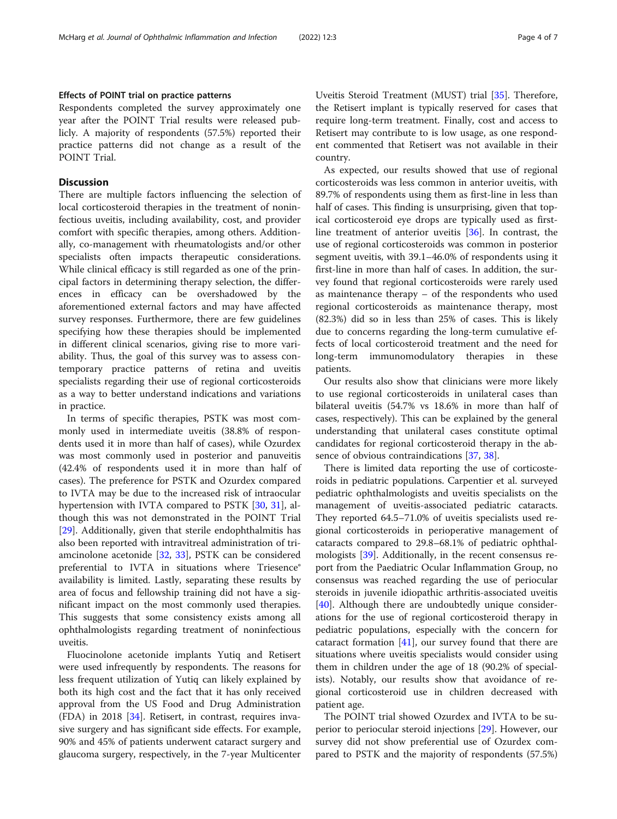# Effects of POINT trial on practice patterns

Respondents completed the survey approximately one year after the POINT Trial results were released publicly. A majority of respondents (57.5%) reported their practice patterns did not change as a result of the POINT Trial.

# **Discussion**

There are multiple factors influencing the selection of local corticosteroid therapies in the treatment of noninfectious uveitis, including availability, cost, and provider comfort with specific therapies, among others. Additionally, co-management with rheumatologists and/or other specialists often impacts therapeutic considerations. While clinical efficacy is still regarded as one of the principal factors in determining therapy selection, the differences in efficacy can be overshadowed by the aforementioned external factors and may have affected survey responses. Furthermore, there are few guidelines specifying how these therapies should be implemented in different clinical scenarios, giving rise to more variability. Thus, the goal of this survey was to assess contemporary practice patterns of retina and uveitis specialists regarding their use of regional corticosteroids as a way to better understand indications and variations in practice.

In terms of specific therapies, PSTK was most commonly used in intermediate uveitis (38.8% of respondents used it in more than half of cases), while Ozurdex was most commonly used in posterior and panuveitis (42.4% of respondents used it in more than half of cases). The preference for PSTK and Ozurdex compared to IVTA may be due to the increased risk of intraocular hypertension with IVTA compared to PSTK [\[30](#page-5-0), [31](#page-5-0)], although this was not demonstrated in the POINT Trial [[29\]](#page-5-0). Additionally, given that sterile endophthalmitis has also been reported with intravitreal administration of triamcinolone acetonide [[32,](#page-5-0) [33](#page-5-0)], PSTK can be considered preferential to IVTA in situations where Triesence® availability is limited. Lastly, separating these results by area of focus and fellowship training did not have a significant impact on the most commonly used therapies. This suggests that some consistency exists among all ophthalmologists regarding treatment of noninfectious uveitis.

Fluocinolone acetonide implants Yutiq and Retisert were used infrequently by respondents. The reasons for less frequent utilization of Yutiq can likely explained by both its high cost and the fact that it has only received approval from the US Food and Drug Administration (FDA) in 2018 [\[34\]](#page-5-0). Retisert, in contrast, requires invasive surgery and has significant side effects. For example, 90% and 45% of patients underwent cataract surgery and glaucoma surgery, respectively, in the 7-year Multicenter Uveitis Steroid Treatment (MUST) trial [\[35](#page-5-0)]. Therefore, the Retisert implant is typically reserved for cases that require long-term treatment. Finally, cost and access to Retisert may contribute to is low usage, as one respondent commented that Retisert was not available in their country.

As expected, our results showed that use of regional corticosteroids was less common in anterior uveitis, with 89.7% of respondents using them as first-line in less than half of cases. This finding is unsurprising, given that topical corticosteroid eye drops are typically used as firstline treatment of anterior uveitis [[36\]](#page-5-0). In contrast, the use of regional corticosteroids was common in posterior segment uveitis, with 39.1–46.0% of respondents using it first-line in more than half of cases. In addition, the survey found that regional corticosteroids were rarely used as maintenance therapy – of the respondents who used regional corticosteroids as maintenance therapy, most (82.3%) did so in less than 25% of cases. This is likely due to concerns regarding the long-term cumulative effects of local corticosteroid treatment and the need for long-term immunomodulatory therapies in these patients.

Our results also show that clinicians were more likely to use regional corticosteroids in unilateral cases than bilateral uveitis (54.7% vs 18.6% in more than half of cases, respectively). This can be explained by the general understanding that unilateral cases constitute optimal candidates for regional corticosteroid therapy in the absence of obvious contraindications [\[37](#page-5-0), [38](#page-5-0)].

There is limited data reporting the use of corticosteroids in pediatric populations. Carpentier et al. surveyed pediatric ophthalmologists and uveitis specialists on the management of uveitis-associated pediatric cataracts. They reported 64.5–71.0% of uveitis specialists used regional corticosteroids in perioperative management of cataracts compared to 29.8–68.1% of pediatric ophthalmologists [\[39](#page-5-0)]. Additionally, in the recent consensus report from the Paediatric Ocular Inflammation Group, no consensus was reached regarding the use of periocular steroids in juvenile idiopathic arthritis-associated uveitis [[40\]](#page-6-0). Although there are undoubtedly unique considerations for the use of regional corticosteroid therapy in pediatric populations, especially with the concern for cataract formation [[41\]](#page-6-0), our survey found that there are situations where uveitis specialists would consider using them in children under the age of 18 (90.2% of specialists). Notably, our results show that avoidance of regional corticosteroid use in children decreased with patient age.

The POINT trial showed Ozurdex and IVTA to be superior to periocular steroid injections [[29](#page-5-0)]. However, our survey did not show preferential use of Ozurdex compared to PSTK and the majority of respondents (57.5%)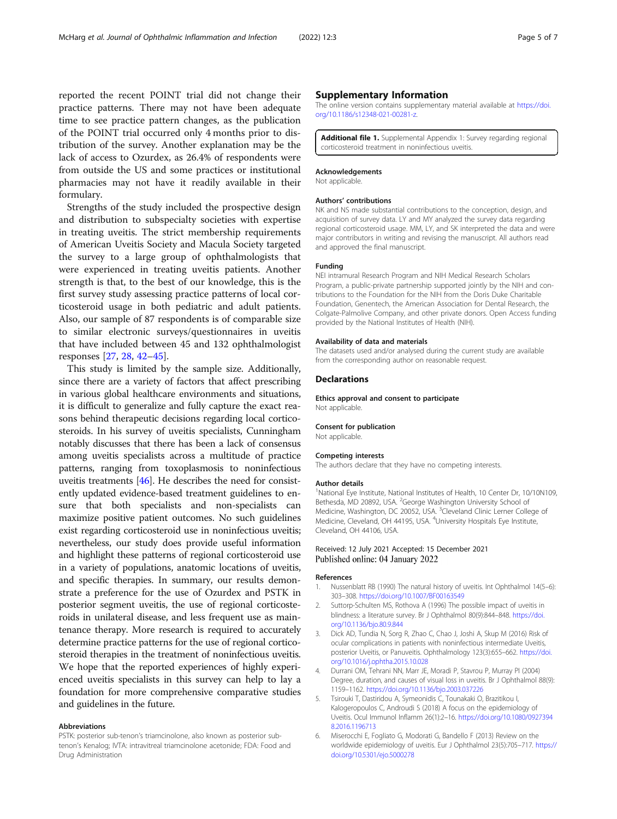<span id="page-4-0"></span>reported the recent POINT trial did not change their practice patterns. There may not have been adequate time to see practice pattern changes, as the publication of the POINT trial occurred only 4 months prior to distribution of the survey. Another explanation may be the lack of access to Ozurdex, as 26.4% of respondents were from outside the US and some practices or institutional pharmacies may not have it readily available in their formulary.

Strengths of the study included the prospective design and distribution to subspecialty societies with expertise in treating uveitis. The strict membership requirements of American Uveitis Society and Macula Society targeted the survey to a large group of ophthalmologists that were experienced in treating uveitis patients. Another strength is that, to the best of our knowledge, this is the first survey study assessing practice patterns of local corticosteroid usage in both pediatric and adult patients. Also, our sample of 87 respondents is of comparable size to similar electronic surveys/questionnaires in uveitis that have included between 45 and 132 ophthalmologist responses [\[27](#page-5-0), [28](#page-5-0), [42](#page-6-0)–[45\]](#page-6-0).

This study is limited by the sample size. Additionally, since there are a variety of factors that affect prescribing in various global healthcare environments and situations, it is difficult to generalize and fully capture the exact reasons behind therapeutic decisions regarding local corticosteroids. In his survey of uveitis specialists, Cunningham notably discusses that there has been a lack of consensus among uveitis specialists across a multitude of practice patterns, ranging from toxoplasmosis to noninfectious uveitis treatments [[46](#page-6-0)]. He describes the need for consistently updated evidence-based treatment guidelines to ensure that both specialists and non-specialists can maximize positive patient outcomes. No such guidelines exist regarding corticosteroid use in noninfectious uveitis; nevertheless, our study does provide useful information and highlight these patterns of regional corticosteroid use in a variety of populations, anatomic locations of uveitis, and specific therapies. In summary, our results demonstrate a preference for the use of Ozurdex and PSTK in posterior segment uveitis, the use of regional corticosteroids in unilateral disease, and less frequent use as maintenance therapy. More research is required to accurately determine practice patterns for the use of regional corticosteroid therapies in the treatment of noninfectious uveitis. We hope that the reported experiences of highly experienced uveitis specialists in this survey can help to lay a foundation for more comprehensive comparative studies and guidelines in the future.

#### Abbreviations

PSTK: posterior sub-tenon's triamcinolone, also known as posterior subtenon's Kenalog; IVTA: intravitreal triamcinolone acetonide; FDA: Food and Drug Administration

## Supplementary Information

The online version contains supplementary material available at [https://doi.](https://doi.org/10.1186/s12348-021-00281-z) [org/10.1186/s12348-021-00281-z](https://doi.org/10.1186/s12348-021-00281-z).

Additional file 1. Supplemental Appendix 1: Survey regarding regional corticosteroid treatment in noninfectious uveitis.

#### Acknowledgements

Not applicable.

#### Authors' contributions

NK and NS made substantial contributions to the conception, design, and acquisition of survey data. LY and MY analyzed the survey data regarding regional corticosteroid usage. MM, LY, and SK interpreted the data and were major contributors in writing and revising the manuscript. All authors read and approved the final manuscript.

#### Funding

NEI intramural Research Program and NIH Medical Research Scholars Program, a public-private partnership supported jointly by the NIH and contributions to the Foundation for the NIH from the Doris Duke Charitable Foundation, Genentech, the American Association for Dental Research, the Colgate-Palmolive Company, and other private donors. Open Access funding provided by the National Institutes of Health (NIH).

#### Availability of data and materials

The datasets used and/or analysed during the current study are available from the corresponding author on reasonable request.

#### Declarations

Ethics approval and consent to participate Not applicable.

# Consent for publication

Not applicable.

#### Competing interests

The authors declare that they have no competing interests.

#### Author details

<sup>1</sup>National Eye Institute, National Institutes of Health, 10 Center Dr, 10/10N109 Bethesda, MD 20892, USA. <sup>2</sup>George Washington University School of Medicine, Washington, DC 20052, USA. <sup>3</sup>Cleveland Clinic Lerner College of Medicine, Cleveland, OH 44195, USA. <sup>4</sup>University Hospitals Eye Institute Cleveland, OH 44106, USA.

# Received: 12 July 2021 Accepted: 15 December 2021 Published online: 04 January 2022

#### References

- 1. Nussenblatt RB (1990) The natural history of uveitis. Int Ophthalmol 14(5–6): 303–308. <https://doi.org/10.1007/BF00163549>
- Suttorp-Schulten MS, Rothova A (1996) The possible impact of uveitis in blindness: a literature survey. Br J Ophthalmol 80(9):844–848. [https://doi.](https://doi.org/10.1136/bjo.80.9.844) [org/10.1136/bjo.80.9.844](https://doi.org/10.1136/bjo.80.9.844)
- 3. Dick AD, Tundia N, Sorg R, Zhao C, Chao J, Joshi A, Skup M (2016) Risk of ocular complications in patients with noninfectious intermediate Uveitis, posterior Uveitis, or Panuveitis. Ophthalmology 123(3):655–662. [https://doi.](https://doi.org/10.1016/j.ophtha.2015.10.028) [org/10.1016/j.ophtha.2015.10.028](https://doi.org/10.1016/j.ophtha.2015.10.028)
- 4. Durrani OM, Tehrani NN, Marr JE, Moradi P, Stavrou P, Murray PI (2004) Degree, duration, and causes of visual loss in uveitis. Br J Ophthalmol 88(9): 1159–1162. <https://doi.org/10.1136/bjo.2003.037226>
- 5. Tsirouki T, Dastiridou A, Symeonidis C, Tounakaki O, Brazitikou I, Kalogeropoulos C, Androudi S (2018) A focus on the epidemiology of Uveitis. Ocul Immunol Inflamm 26(1):2–16. [https://doi.org/10.1080/0927394](https://doi.org/10.1080/09273948.2016.1196713) [8.2016.1196713](https://doi.org/10.1080/09273948.2016.1196713)
- 6. Miserocchi E, Fogliato G, Modorati G, Bandello F (2013) Review on the worldwide epidemiology of uveitis. Eur J Ophthalmol 23(5):705–717. [https://](https://doi.org/10.5301/ejo.5000278) [doi.org/10.5301/ejo.5000278](https://doi.org/10.5301/ejo.5000278)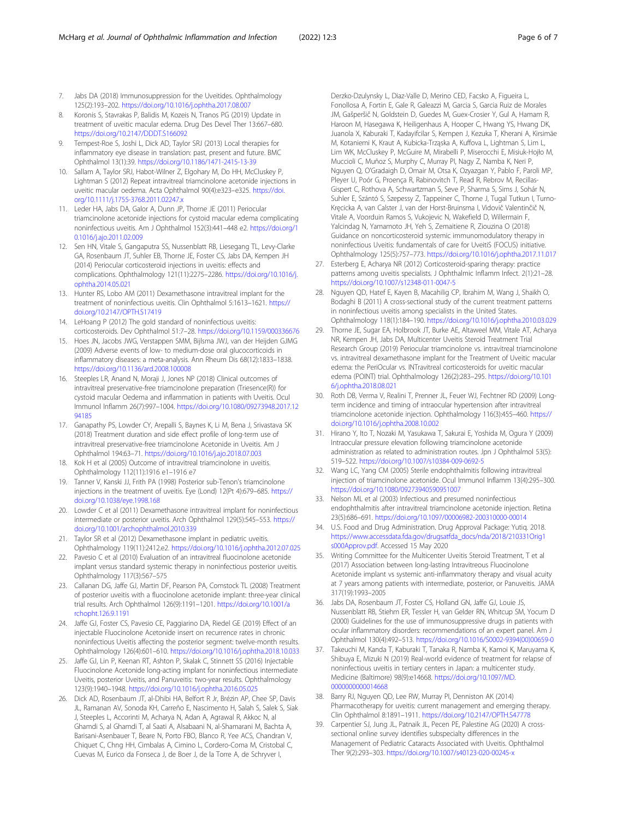- <span id="page-5-0"></span>7. Jabs DA (2018) Immunosuppression for the Uveitides. Ophthalmology 125(2):193–202. <https://doi.org/10.1016/j.ophtha.2017.08.007>
- 8. Koronis S, Stavrakas P, Balidis M, Kozeis N, Tranos PG (2019) Update in treatment of uveitic macular edema. Drug Des Devel Ther 13:667–680. <https://doi.org/10.2147/DDDT.S166092>
- 9. Tempest-Roe S, Joshi L, Dick AD, Taylor SRJ (2013) Local therapies for inflammatory eye disease in translation: past, present and future. BMC Ophthalmol 13(1):39. <https://doi.org/10.1186/1471-2415-13-39>
- 10. Sallam A, Taylor SRJ, Habot-Wilner Z, Elgohary M, Do HH, McCluskey P, Lightman S (2012) Repeat intravitreal triamcinolone acetonide injections in uveitic macular oedema. Acta Ophthalmol 90(4):e323–e325. [https://doi.](https://doi.org/10.1111/j.1755-3768.2011.02247.x) [org/10.1111/j.1755-3768.2011.02247.x](https://doi.org/10.1111/j.1755-3768.2011.02247.x)
- 11. Leder HA, Jabs DA, Galor A, Dunn JP, Thorne JE (2011) Periocular triamcinolone acetonide injections for cystoid macular edema complicating noninfectious uveitis. Am J Ophthalmol 152(3):441–448 e2. [https://doi.org/1](https://doi.org/10.1016/j.ajo.2011.02.009) [0.1016/j.ajo.2011.02.009](https://doi.org/10.1016/j.ajo.2011.02.009)
- 12. Sen HN, Vitale S, Gangaputra SS, Nussenblatt RB, Liesegang TL, Levy-Clarke GA, Rosenbaum JT, Suhler EB, Thorne JE, Foster CS, Jabs DA, Kempen JH (2014) Periocular corticosteroid injections in uveitis: effects and complications. Ophthalmology 121(11):2275–2286. [https://doi.org/10.1016/j.](https://doi.org/10.1016/j.ophtha.2014.05.021) [ophtha.2014.05.021](https://doi.org/10.1016/j.ophtha.2014.05.021)
- 13. Hunter RS, Lobo AM (2011) Dexamethasone intravitreal implant for the treatment of noninfectious uveitis. Clin Ophthalmol 5:1613–1621. [https://](https://doi.org/10.2147/OPTH.S17419) [doi.org/10.2147/OPTH.S17419](https://doi.org/10.2147/OPTH.S17419)
- 14. LeHoang P (2012) The gold standard of noninfectious uveitis: corticosteroids. Dev Ophthalmol 51:7–28. <https://doi.org/10.1159/000336676>
- 15. Hoes JN, Jacobs JWG, Verstappen SMM, Bijlsma JWJ, van der Heijden GJMG (2009) Adverse events of low- to medium-dose oral glucocorticoids in inflammatory diseases: a meta-analysis. Ann Rheum Dis 68(12):1833–1838. <https://doi.org/10.1136/ard.2008.100008>
- 16. Steeples LR, Anand N, Moraji J, Jones NP (2018) Clinical outcomes of intravitreal preservative-free triamcinolone preparation (Triesence(R)) for cystoid macular Oedema and inflammation in patients with Uveitis. Ocul Immunol Inflamm 26(7):997–1004. [https://doi.org/10.1080/09273948.2017.12](https://doi.org/10.1080/09273948.2017.1294185) [94185](https://doi.org/10.1080/09273948.2017.1294185)
- 17. Ganapathy PS, Lowder CY, Arepalli S, Baynes K, Li M, Bena J, Srivastava SK (2018) Treatment duration and side effect profile of long-term use of intravitreal preservative-free triamcinolone Acetonide in Uveitis. Am J Ophthalmol 194:63–71. <https://doi.org/10.1016/j.ajo.2018.07.003>
- 18. Kok H et al (2005) Outcome of intravitreal triamcinolone in uveitis. Ophthalmology 112(11):1916 e1–1916 e7
- 19. Tanner V, Kanski JJ, Frith PA (1998) Posterior sub-Tenon's triamcinolone injections in the treatment of uveitis. Eye (Lond) 12(Pt 4):679–685. [https://](https://doi.org/10.1038/eye.1998.168) [doi.org/10.1038/eye.1998.168](https://doi.org/10.1038/eye.1998.168)
- 20. Lowder C et al (2011) Dexamethasone intravitreal implant for noninfectious intermediate or posterior uveitis. Arch Ophthalmol 129(5):545–553. [https://](https://doi.org/10.1001/archophthalmol.2010.339) [doi.org/10.1001/archophthalmol.2010.339](https://doi.org/10.1001/archophthalmol.2010.339)
- 21. Taylor SR et al (2012) Dexamethasone implant in pediatric uveitis. Ophthalmology 119(11):2412.e2. <https://doi.org/10.1016/j.ophtha.2012.07.025>
- 22. Pavesio C et al (2010) Evaluation of an intravitreal fluocinolone acetonide implant versus standard systemic therapy in noninfectious posterior uveitis. Ophthalmology 117(3):567–575
- 23. Callanan DG, Jaffe GJ, Martin DF, Pearson PA, Comstock TL (2008) Treatment of posterior uveitis with a fluocinolone acetonide implant: three-year clinical trial results. Arch Ophthalmol 126(9):1191–1201. [https://doi.org/10.1001/a](https://doi.org/10.1001/archopht.126.9.1191) [rchopht.126.9.1191](https://doi.org/10.1001/archopht.126.9.1191)
- 24. Jaffe GJ, Foster CS, Pavesio CE, Paggiarino DA, Riedel GE (2019) Effect of an injectable Fluocinolone Acetonide insert on recurrence rates in chronic noninfectious Uveitis affecting the posterior segment: twelve-month results. Ophthalmology 126(4):601–610. <https://doi.org/10.1016/j.ophtha.2018.10.033>
- 25. Jaffe GJ, Lin P, Keenan RT, Ashton P, Skalak C, Stinnett SS (2016) Injectable Fluocinolone Acetonide long-acting implant for noninfectious intermediate Uveitis, posterior Uveitis, and Panuveitis: two-year results. Ophthalmology 123(9):1940–1948. <https://doi.org/10.1016/j.ophtha.2016.05.025>
- 26. Dick AD, Rosenbaum JT, al-Dhibi HA, Belfort R Jr, Brézin AP, Chee SP, Davis JL, Ramanan AV, Sonoda KH, Carreño E, Nascimento H, Salah S, Salek S, Siak J, Steeples L, Accorinti M, Acharya N, Adan A, Agrawal R, Akkoc N, al Ghamdi S, al Ghamdi T, al Saati A, Alsabaani N, al-Shamarani M, Bachta A, Barisani-Asenbauer T, Beare N, Porto FBO, Blanco R, Yee ACS, Chandran V, Chiquet C, Chng HH, Cimbalas A, Cimino L, Cordero-Coma M, Cristobal C, Cuevas M, Eurico da Fonseca J, de Boer J, de la Torre A, de Schryver I,

Derzko-Dzulynsky L, Diaz-Valle D, Merino CED, Facsko A, Figueira L, Fonollosa A, Fortin E, Gale R, Galeazzi M, Garcia S, Garcia Ruiz de Morales JM, Gašperšič N, Goldstein D, Guedes M, Guex-Crosier Y, Gul A, Hamam R, Haroon M, Hasegawa K, Heiligenhaus A, Hooper C, Hwang YS, Hwang DK, Juanola X, Kaburaki T, Kadayifcilar S, Kempen J, Kezuka T, Kherani A, Kirsimäe M, Kotaniemi K, Kraut A, Kubicka-Trząska A, Kuffova L, Lightman S, Lim L, Lim WK, McCluskey P, McGuire M, Mirabelli P, Miserocchi E, Misiuk-Hojło M, Muccioli C, Muñoz S, Murphy C, Murray PI, Nagy Z, Namba K, Neri P, Nguyen Q, O'Gradaigh D, Omair M, Otsa K, Ozyazgan Y, Pablo F, Paroli MP, Pleyer U, Poór G, Proença R, Rabinovitch T, Read R, Rebrov M, Recillas-Gispert C, Rothova A, Schwartzman S, Seve P, Sharma S, Sims J, Sohár N, Suhler E, Szántó S, Szepessy Z, Tappeiner C, Thorne J, Tugal Tutkun I, Turno-Kręcicka A, van Calster J, van der Horst-Bruinsma I, Vidovič Valentinčič N, Vitale A, Voorduin Ramos S, Vukojevic N, Wakefield D, Willermain F, Yalcindag N, Yamamoto JH, Yeh S, Zemaitiene R, Ziouzina O (2018) Guidance on noncorticosteroid systemic immunomodulatory therapy in noninfectious Uveitis: fundamentals of care for UveitiS (FOCUS) initiative. Ophthalmology 125(5):757–773. <https://doi.org/10.1016/j.ophtha.2017.11.017>

- 27. Esterberg E, Acharya NR (2012) Corticosteroid-sparing therapy: practice patterns among uveitis specialists. J Ophthalmic Inflamm Infect. 2(1):21–28. <https://doi.org/10.1007/s12348-011-0047-5>
- 28. Nguyen QD, Hatef E, Kayen B, Macahilig CP, Ibrahim M, Wang J, Shaikh O, Bodaghi B (2011) A cross-sectional study of the current treatment patterns in noninfectious uveitis among specialists in the United States. Ophthalmology 118(1):184–190. <https://doi.org/10.1016/j.ophtha.2010.03.029>
- 29. Thorne JE, Sugar EA, Holbrook JT, Burke AE, Altaweel MM, Vitale AT, Acharya NR, Kempen JH, Jabs DA, Multicenter Uveitis Steroid Treatment Trial Research Group (2019) Periocular triamcinolone vs. intravitreal triamcinolone vs. intravitreal dexamethasone implant for the Treatment of Uveitic macular edema: the PeriOcular vs. INTravitreal corticosteroids for uveitic macular edema (POINT) trial. Ophthalmology 126(2):283–295. [https://doi.org/10.101](https://doi.org/10.1016/j.ophtha.2018.08.021) [6/j.ophtha.2018.08.021](https://doi.org/10.1016/j.ophtha.2018.08.021)
- 30. Roth DB, Verma V, Realini T, Prenner JL, Feuer WJ, Fechtner RD (2009) Longterm incidence and timing of intraocular hypertension after intravitreal triamcinolone acetonide injection. Ophthalmology 116(3):455–460. [https://](https://doi.org/10.1016/j.ophtha.2008.10.002) [doi.org/10.1016/j.ophtha.2008.10.002](https://doi.org/10.1016/j.ophtha.2008.10.002)
- 31. Hirano Y, Ito T, Nozaki M, Yasukawa T, Sakurai E, Yoshida M, Ogura Y (2009) Intraocular pressure elevation following triamcinolone acetonide administration as related to administration routes. Jpn J Ophthalmol 53(5): 519–522. <https://doi.org/10.1007/s10384-009-0692-5>
- 32. Wang LC, Yang CM (2005) Sterile endophthalmitis following intravitreal injection of triamcinolone acetonide. Ocul Immunol Inflamm 13(4):295–300. <https://doi.org/10.1080/09273940590951007>
- 33. Nelson ML et al (2003) Infectious and presumed noninfectious endophthalmitis after intravitreal triamcinolone acetonide injection. Retina 23(5):686–691. <https://doi.org/10.1097/00006982-200310000-00014>
- 34. U.S. Food and Drug Administration. Drug Approval Package: Yutiq. 2018. [https://www.accessdata.fda.gov/drugsatfda\\_docs/nda/2018/210331Orig1](https://www.accessdata.fda.gov/drugsatfda_docs/nda/2018/210331Orig1s000Approv.pdf) [s000Approv.pdf](https://www.accessdata.fda.gov/drugsatfda_docs/nda/2018/210331Orig1s000Approv.pdf). Accessed 15 May 2020
- 35. Writing Committee for the Multicenter Uveitis Steroid Treatment, T et al (2017) Association between long-lasting Intravitreous Fluocinolone Acetonide implant vs systemic anti-inflammatory therapy and visual acuity at 7 years among patients with intermediate, posterior, or Panuveitis. JAMA 317(19):1993–2005
- 36. Jabs DA, Rosenbaum JT, Foster CS, Holland GN, Jaffe GJ, Louie JS, Nussenblatt RB, Stiehm ER, Tessler H, van Gelder RN, Whitcup SM, Yocum D (2000) Guidelines for the use of immunosuppressive drugs in patients with ocular inflammatory disorders: recommendations of an expert panel. Am J Ophthalmol 130(4):492–513. [https://doi.org/10.1016/S0002-9394\(00\)00659-0](https://doi.org/10.1016/S0002-9394(00)00659-0)
- 37. Takeuchi M, Kanda T, Kaburaki T, Tanaka R, Namba K, Kamoi K, Maruyama K, Shibuya E, Mizuki N (2019) Real-world evidence of treatment for relapse of noninfectious uveitis in tertiary centers in Japan: a multicenter study. Medicine (Baltimore) 98(9):e14668. [https://doi.org/10.1097/MD.](https://doi.org/10.1097/MD.0000000000014668) [0000000000014668](https://doi.org/10.1097/MD.0000000000014668)
- 38. Barry RJ, Nguyen QD, Lee RW, Murray PI, Denniston AK (2014) Pharmacotherapy for uveitis: current management and emerging therapy. Clin Ophthalmol 8:1891–1911. <https://doi.org/10.2147/OPTH.S47778>
- 39. Carpentier SJ, Jung JL, Patnaik JL, Pecen PE, Palestine AG (2020) A crosssectional online survey identifies subspecialty differences in the Management of Pediatric Cataracts Associated with Uveitis. Ophthalmol Ther 9(2):293–303. <https://doi.org/10.1007/s40123-020-00245-x>